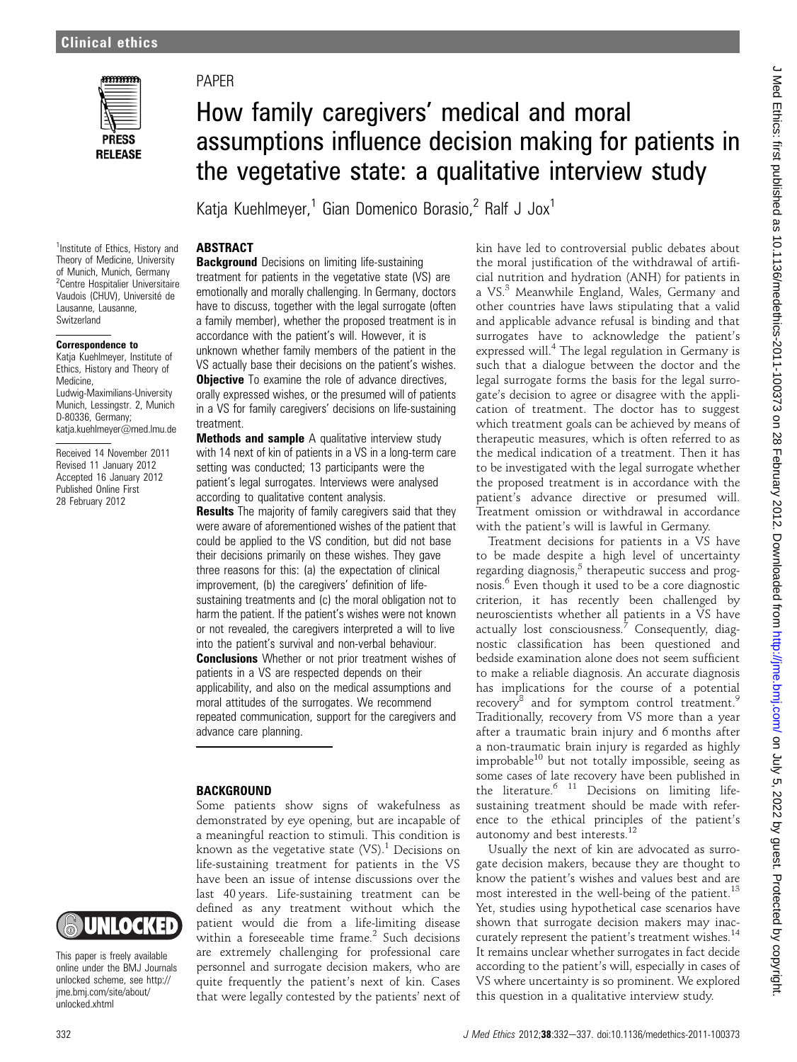

<sup>1</sup>Institute of Ethics, History and

Lausanne, Lausanne, **Switzerland** 

Correspondence to

D-80336, Germany; katja.kuehlmeyer@med.lmu.de Received 14 November 2011 Revised 11 January 2012 Accepted 16 January 2012 Published Online First 28 February 2012

Medicine,

### PAPER

## How family caregivers' medical and moral assumptions influence decision making for patients in the vegetative state: a qualitative interview study

Katja Kuehlmeyer,<sup>1</sup> Gian Domenico Borasio,<sup>2</sup> Ralf J Jox<sup>1</sup>

### **ABSTRACT**

**Background** Decisions on limiting life-sustaining treatment for patients in the vegetative state (VS) are emotionally and morally challenging. In Germany, doctors have to discuss, together with the legal surrogate (often a family member), whether the proposed treatment is in accordance with the patient's will. However, it is unknown whether family members of the patient in the VS actually base their decisions on the patient's wishes. **Objective** To examine the role of advance directives, orally expressed wishes, or the presumed will of patients in a VS for family caregivers' decisions on life-sustaining treatment. Theory of Medicine, University of Munich, Munich, Germany <sup>2</sup>Centre Hospitalier Universitaire Vaudois (CHUV), Université de Katja Kuehlmeyer, Institute of Ethics, History and Theory of Ludwig-Maximilians-University Munich, Lessingstr. 2, Munich

> Methods and sample A qualitative interview study with 14 next of kin of patients in a VS in a long-term care setting was conducted; 13 participants were the patient's legal surrogates. Interviews were analysed according to qualitative content analysis.

> **Results** The majority of family caregivers said that they were aware of aforementioned wishes of the patient that could be applied to the VS condition, but did not base their decisions primarily on these wishes. They gave three reasons for this: (a) the expectation of clinical improvement, (b) the caregivers' definition of lifesustaining treatments and (c) the moral obligation not to harm the patient. If the patient's wishes were not known or not revealed, the caregivers interpreted a will to live into the patient's survival and non-verbal behaviour.

> **Conclusions** Whether or not prior treatment wishes of patients in a VS are respected depends on their applicability, and also on the medical assumptions and moral attitudes of the surrogates. We recommend repeated communication, support for the caregivers and advance care planning.

#### **BACKGROUND**

Some patients show signs of wakefulness as demonstrated by eye opening, but are incapable of a meaningful reaction to stimuli. This condition is known as the vegetative state  $(VS)$ .<sup>1</sup> Decisions on life-sustaining treatment for patients in the VS have been an issue of intense discussions over the last 40 years. Life-sustaining treatment can be defined as any treatment without which the patient would die from a life-limiting disease within a foreseeable time frame. $2$  Such decisions are extremely challenging for professional care personnel and surrogate decision makers, who are quite frequently the patient's next of kin. Cases that were legally contested by the patients' next of

kin have led to controversial public debates about the moral justification of the withdrawal of artificial nutrition and hydration (ANH) for patients in a VS.<sup>3</sup> Meanwhile England, Wales, Germany and other countries have laws stipulating that a valid and applicable advance refusal is binding and that surrogates have to acknowledge the patient's expressed will.<sup>4</sup> The legal regulation in Germany is such that a dialogue between the doctor and the legal surrogate forms the basis for the legal surrogate's decision to agree or disagree with the application of treatment. The doctor has to suggest which treatment goals can be achieved by means of therapeutic measures, which is often referred to as the medical indication of a treatment. Then it has to be investigated with the legal surrogate whether the proposed treatment is in accordance with the patient's advance directive or presumed will. Treatment omission or withdrawal in accordance with the patient's will is lawful in Germany.

Treatment decisions for patients in a VS have to be made despite a high level of uncertainty regarding diagnosis, $5$  therapeutic success and prognosis.<sup>6</sup> Even though it used to be a core diagnostic criterion, it has recently been challenged by neuroscientists whether all patients in a VS have actually lost consciousness. $7$  Consequently, diagnostic classification has been questioned and bedside examination alone does not seem sufficient to make a reliable diagnosis. An accurate diagnosis has implications for the course of a potential recovery<sup>8</sup> and for symptom control treatment.<sup>9</sup> Traditionally, recovery from VS more than a year after a traumatic brain injury and 6 months after a non-traumatic brain injury is regarded as highly improbable $^{10}$  but not totally impossible, seeing as some cases of late recovery have been published in the literature.  $11$  Decisions on limiting lifesustaining treatment should be made with reference to the ethical principles of the patient's autonomy and best interests.<sup>12</sup>

Usually the next of kin are advocated as surrogate decision makers, because they are thought to know the patient's wishes and values best and are most interested in the well-being of the patient.<sup>13</sup> Yet, studies using hypothetical case scenarios have shown that surrogate decision makers may inaccurately represent the patient's treatment wishes.<sup>14</sup> It remains unclear whether surrogates in fact decide according to the patient's will, especially in cases of VS where uncertainty is so prominent. We explored this question in a qualitative interview study.

## UNIOCKED

This paper is freely available online under the BMJ Journals unlocked scheme, see http:// jme.bmj.com/site/about/ unlocked.xhtml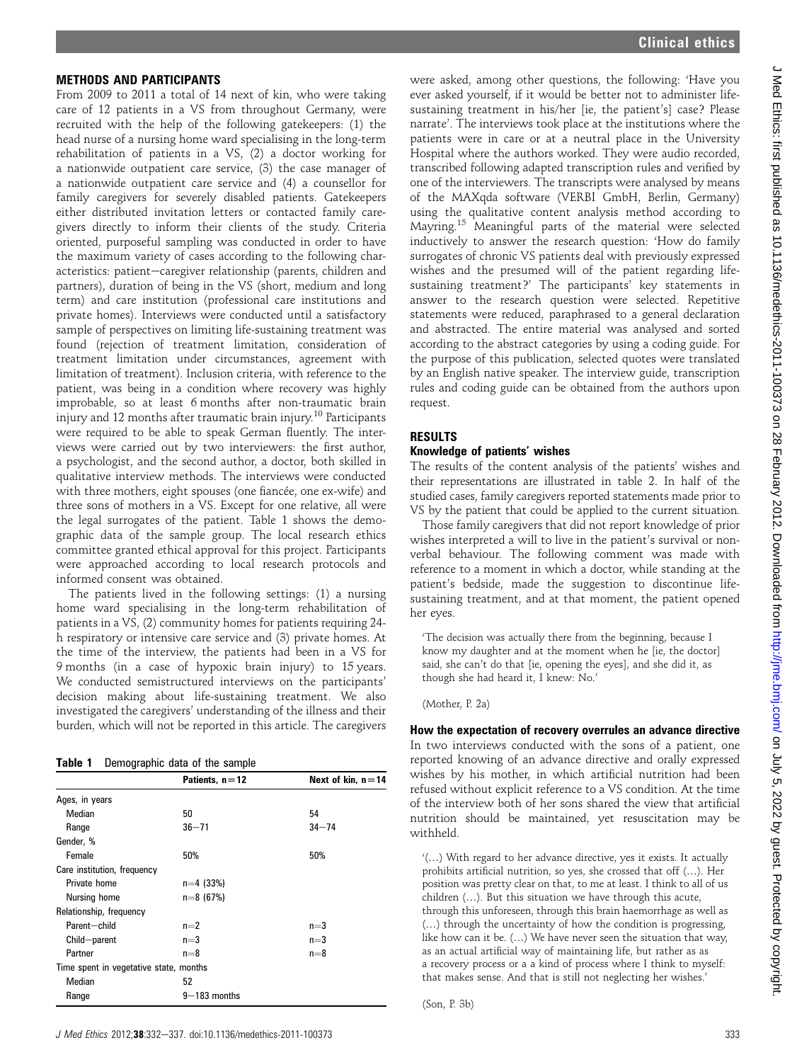#### METHODS AND PARTICIPANTS

From 2009 to 2011 a total of 14 next of kin, who were taking care of 12 patients in a VS from throughout Germany, were recruited with the help of the following gatekeepers: (1) the head nurse of a nursing home ward specialising in the long-term rehabilitation of patients in a VS, (2) a doctor working for a nationwide outpatient care service, (3) the case manager of a nationwide outpatient care service and (4) a counsellor for family caregivers for severely disabled patients. Gatekeepers either distributed invitation letters or contacted family caregivers directly to inform their clients of the study. Criteria oriented, purposeful sampling was conducted in order to have the maximum variety of cases according to the following characteristics: patient-caregiver relationship (parents, children and partners), duration of being in the VS (short, medium and long term) and care institution (professional care institutions and private homes). Interviews were conducted until a satisfactory sample of perspectives on limiting life-sustaining treatment was found (rejection of treatment limitation, consideration of treatment limitation under circumstances, agreement with limitation of treatment). Inclusion criteria, with reference to the patient, was being in a condition where recovery was highly improbable, so at least 6 months after non-traumatic brain injury and 12 months after traumatic brain injury.<sup>10</sup> Participants were required to be able to speak German fluently. The interviews were carried out by two interviewers: the first author, a psychologist, and the second author, a doctor, both skilled in qualitative interview methods. The interviews were conducted with three mothers, eight spouses (one fiancée, one ex-wife) and three sons of mothers in a VS. Except for one relative, all were the legal surrogates of the patient. Table 1 shows the demographic data of the sample group. The local research ethics committee granted ethical approval for this project. Participants were approached according to local research protocols and informed consent was obtained.

The patients lived in the following settings: (1) a nursing home ward specialising in the long-term rehabilitation of patients in a VS, (2) community homes for patients requiring 24 h respiratory or intensive care service and (3) private homes. At the time of the interview, the patients had been in a VS for 9 months (in a case of hypoxic brain injury) to 15 years. We conducted semistructured interviews on the participants' decision making about life-sustaining treatment. We also investigated the caregivers' understanding of the illness and their burden, which will not be reported in this article. The caregivers

| Table 1 | Demographic data of the sample |  |  |
|---------|--------------------------------|--|--|
|         |                                |  |  |

|                                        | Patients, $n = 12$ | Next of kin, $n = 14$ |
|----------------------------------------|--------------------|-----------------------|
| Ages, in years                         |                    |                       |
| Median                                 | 50                 | 54                    |
| Range                                  | $36 - 71$          | $34 - 74$             |
| Gender, %                              |                    |                       |
| Female                                 | 50%                | 50%                   |
| Care institution, frequency            |                    |                       |
| Private home                           | $n=4$ (33%)        |                       |
| Nursing home                           | $n=8(67%)$         |                       |
| Relationship, frequency                |                    |                       |
| Parent-child                           | $n=2$              | $n=3$                 |
| Child-parent                           | $n=3$              | $n=3$                 |
| Partner                                | $n=8$              | $n=8$                 |
| Time spent in vegetative state, months |                    |                       |
| Median                                 | 52                 |                       |
| Range                                  | $9 - 183$ months   |                       |

were asked, among other questions, the following: 'Have you ever asked yourself, if it would be better not to administer lifesustaining treatment in his/her [ie, the patient's] case? Please narrate'. The interviews took place at the institutions where the patients were in care or at a neutral place in the University Hospital where the authors worked. They were audio recorded, transcribed following adapted transcription rules and verified by one of the interviewers. The transcripts were analysed by means of the MAXqda software (VERBI GmbH, Berlin, Germany) using the qualitative content analysis method according to Mayring.<sup>15</sup> Meaningful parts of the material were selected inductively to answer the research question: 'How do family surrogates of chronic VS patients deal with previously expressed wishes and the presumed will of the patient regarding lifesustaining treatment?' The participants' key statements in answer to the research question were selected. Repetitive statements were reduced, paraphrased to a general declaration and abstracted. The entire material was analysed and sorted according to the abstract categories by using a coding guide. For the purpose of this publication, selected quotes were translated by an English native speaker. The interview guide, transcription rules and coding guide can be obtained from the authors upon request.

#### RESULTS

#### Knowledge of patients' wishes

The results of the content analysis of the patients' wishes and their representations are illustrated in table 2. In half of the studied cases, family caregivers reported statements made prior to VS by the patient that could be applied to the current situation.

Those family caregivers that did not report knowledge of prior wishes interpreted a will to live in the patient's survival or nonverbal behaviour. The following comment was made with reference to a moment in which a doctor, while standing at the patient's bedside, made the suggestion to discontinue lifesustaining treatment, and at that moment, the patient opened her eyes.

'The decision was actually there from the beginning, because I know my daughter and at the moment when he [ie, the doctor] said, she can't do that [ie, opening the eyes], and she did it, as though she had heard it, I knew: No.'

(Mother, P. 2a)

How the expectation of recovery overrules an advance directive In two interviews conducted with the sons of a patient, one reported knowing of an advance directive and orally expressed wishes by his mother, in which artificial nutrition had been refused without explicit reference to a VS condition. At the time of the interview both of her sons shared the view that artificial nutrition should be maintained, yet resuscitation may be withheld.

'(...) With regard to her advance directive, yes it exists. It actually prohibits artificial nutrition, so yes, she crossed that off  $(...)$ . Her position was pretty clear on that, to me at least. I think to all of us  $children$   $(...)$ . But this situation we have through this acute, through this unforeseen, through this brain haemorrhage as well as  $(...)$  through the uncertainty of how the condition is progressing, like how can it be.  $(...)$  We have never seen the situation that way, as an actual artificial way of maintaining life, but rather as as a recovery process or a a kind of process where I think to myself: that makes sense. And that is still not neglecting her wishes.'

(Son, P. 3b)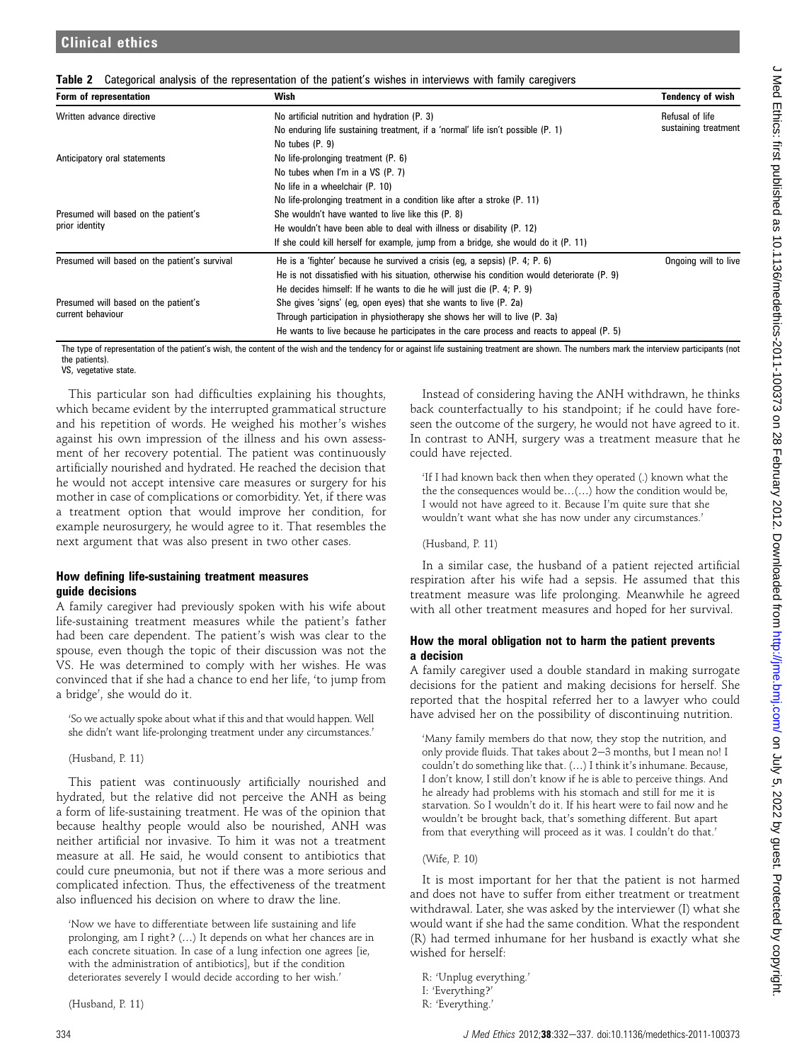| Form of representation                        | Wish                                                                                        | Tendency of wish                        |  |
|-----------------------------------------------|---------------------------------------------------------------------------------------------|-----------------------------------------|--|
| Written advance directive                     | No artificial nutrition and hydration (P. 3)                                                | Refusal of life<br>sustaining treatment |  |
|                                               | No enduring life sustaining treatment, if a 'normal' life isn't possible (P. 1)             |                                         |  |
|                                               | No tubes (P. 9)                                                                             |                                         |  |
| Anticipatory oral statements                  | No life-prolonging treatment (P. 6)                                                         |                                         |  |
|                                               | No tubes when I'm in a VS (P. 7)                                                            |                                         |  |
|                                               | No life in a wheelchair (P. 10)                                                             |                                         |  |
|                                               | No life-prolonging treatment in a condition like after a stroke (P. 11)                     |                                         |  |
| Presumed will based on the patient's          | She wouldn't have wanted to live like this (P. 8)                                           |                                         |  |
| prior identity                                | He wouldn't have been able to deal with illness or disability (P. 12)                       |                                         |  |
|                                               | If she could kill herself for example, jump from a bridge, she would do it (P. 11)          |                                         |  |
| Presumed will based on the patient's survival | He is a 'fighter' because he survived a crisis (eq. a sepsis) (P. 4; P. 6)                  | Ongoing will to live                    |  |
|                                               | He is not dissatisfied with his situation, otherwise his condition would deteriorate (P. 9) |                                         |  |
|                                               | He decides himself: If he wants to die he will just die (P. 4; P. 9)                        |                                         |  |
| Presumed will based on the patient's          | She gives 'signs' (eg, open eyes) that she wants to live (P. 2a)                            |                                         |  |
| current behaviour                             | Through participation in physiotherapy she shows her will to live (P. 3a)                   |                                         |  |
|                                               | He wants to live because he participates in the care process and reacts to appeal (P. 5)    |                                         |  |

Table 2 Categorical analysis of the representation of the patient's wishes in interviews with family caregivers

The type of representation of the patient's wish, the content of the wish and the tendency for or against life sustaining treatment are shown. The numbers mark the interview participants (not the patients).

VS, vegetative state.

This particular son had difficulties explaining his thoughts, which became evident by the interrupted grammatical structure and his repetition of words. He weighed his mother's wishes against his own impression of the illness and his own assessment of her recovery potential. The patient was continuously artificially nourished and hydrated. He reached the decision that he would not accept intensive care measures or surgery for his mother in case of complications or comorbidity. Yet, if there was a treatment option that would improve her condition, for example neurosurgery, he would agree to it. That resembles the next argument that was also present in two other cases.

#### How defining life-sustaining treatment measures guide decisions

A family caregiver had previously spoken with his wife about life-sustaining treatment measures while the patient's father had been care dependent. The patient's wish was clear to the spouse, even though the topic of their discussion was not the VS. He was determined to comply with her wishes. He was convinced that if she had a chance to end her life, 'to jump from a bridge', she would do it.

'So we actually spoke about what if this and that would happen. Well she didn't want life-prolonging treatment under any circumstances.'

#### (Husband, P. 11)

This patient was continuously artificially nourished and hydrated, but the relative did not perceive the ANH as being a form of life-sustaining treatment. He was of the opinion that because healthy people would also be nourished, ANH was neither artificial nor invasive. To him it was not a treatment measure at all. He said, he would consent to antibiotics that could cure pneumonia, but not if there was a more serious and complicated infection. Thus, the effectiveness of the treatment also influenced his decision on where to draw the line.

'Now we have to differentiate between life sustaining and life prolonging, am I right? (...) It depends on what her chances are in each concrete situation. In case of a lung infection one agrees [ie, with the administration of antibiotics], but if the condition deteriorates severely I would decide according to her wish.'

(Husband, P. 11)

Instead of considering having the ANH withdrawn, he thinks back counterfactually to his standpoint; if he could have foreseen the outcome of the surgery, he would not have agreed to it. In contrast to ANH, surgery was a treatment measure that he could have rejected.

'If I had known back then when they operated (.) known what the the the consequences would be... $(...)$  how the condition would be, I would not have agreed to it. Because I'm quite sure that she wouldn't want what she has now under any circumstances.'

(Husband, P. 11)

In a similar case, the husband of a patient rejected artificial respiration after his wife had a sepsis. He assumed that this treatment measure was life prolonging. Meanwhile he agreed with all other treatment measures and hoped for her survival.

#### How the moral obligation not to harm the patient prevents a decision

A family caregiver used a double standard in making surrogate decisions for the patient and making decisions for herself. She reported that the hospital referred her to a lawyer who could have advised her on the possibility of discontinuing nutrition.

'Many family members do that now, they stop the nutrition, and only provide fluids. That takes about  $2-3$  months, but I mean no! I couldn't do something like that. (...) I think it's inhumane. Because, I don't know, I still don't know if he is able to perceive things. And he already had problems with his stomach and still for me it is starvation. So I wouldn't do it. If his heart were to fail now and he wouldn't be brought back, that's something different. But apart from that everything will proceed as it was. I couldn't do that.'

#### (Wife, P. 10)

It is most important for her that the patient is not harmed and does not have to suffer from either treatment or treatment withdrawal. Later, she was asked by the interviewer (I) what she would want if she had the same condition. What the respondent (R) had termed inhumane for her husband is exactly what she wished for herself:

R: 'Unplug everything.'

I: 'Everything?'

R: 'Everything.'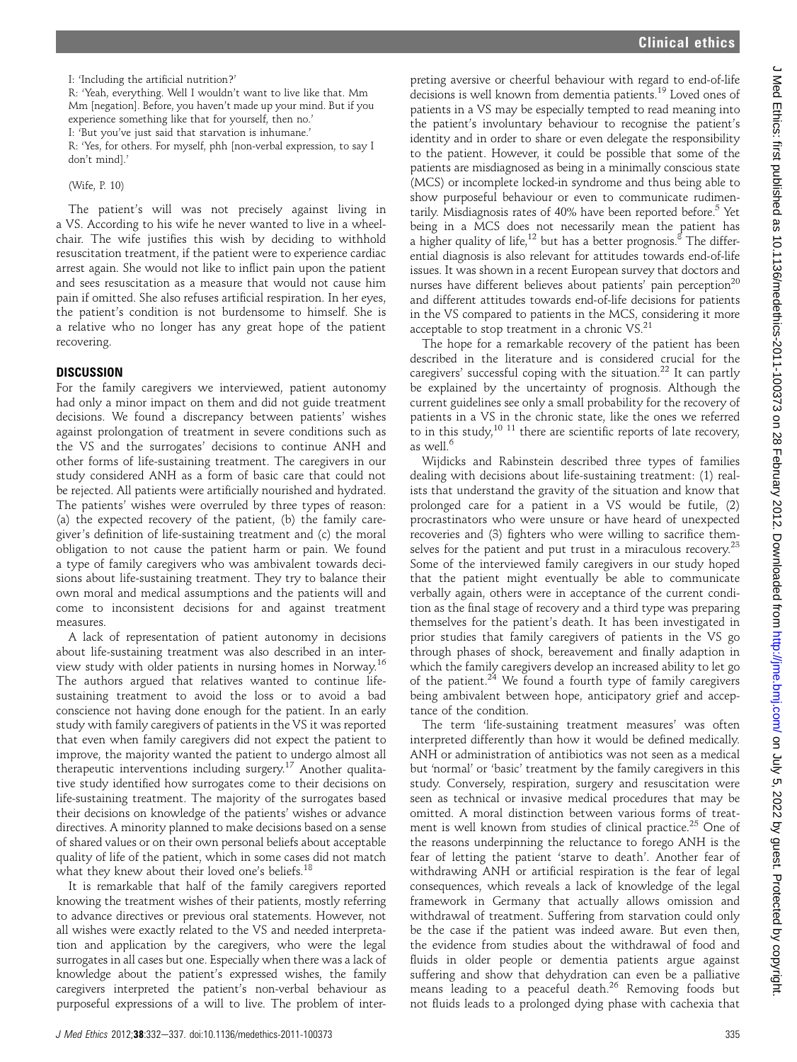I: 'Including the artificial nutrition?'

R: 'Yeah, everything. Well I wouldn't want to live like that. Mm Mm [negation]. Before, you haven't made up your mind. But if you experience something like that for yourself, then no.'

I: 'But you've just said that starvation is inhumane.'

R: 'Yes, for others. For myself, phh [non-verbal expression, to say I don't mind].'

(Wife, P. 10)

The patient's will was not precisely against living in a VS. According to his wife he never wanted to live in a wheelchair. The wife justifies this wish by deciding to withhold resuscitation treatment, if the patient were to experience cardiac arrest again. She would not like to inflict pain upon the patient and sees resuscitation as a measure that would not cause him pain if omitted. She also refuses artificial respiration. In her eyes, the patient's condition is not burdensome to himself. She is a relative who no longer has any great hope of the patient recovering.

#### **DISCUSSION**

For the family caregivers we interviewed, patient autonomy had only a minor impact on them and did not guide treatment decisions. We found a discrepancy between patients' wishes against prolongation of treatment in severe conditions such as the VS and the surrogates' decisions to continue ANH and other forms of life-sustaining treatment. The caregivers in our study considered ANH as a form of basic care that could not be rejected. All patients were artificially nourished and hydrated. The patients' wishes were overruled by three types of reason: (a) the expected recovery of the patient, (b) the family caregiver's definition of life-sustaining treatment and (c) the moral obligation to not cause the patient harm or pain. We found a type of family caregivers who was ambivalent towards decisions about life-sustaining treatment. They try to balance their own moral and medical assumptions and the patients will and come to inconsistent decisions for and against treatment measures.

A lack of representation of patient autonomy in decisions about life-sustaining treatment was also described in an interview study with older patients in nursing homes in Norway.16 The authors argued that relatives wanted to continue lifesustaining treatment to avoid the loss or to avoid a bad conscience not having done enough for the patient. In an early study with family caregivers of patients in the VS it was reported that even when family caregivers did not expect the patient to improve, the majority wanted the patient to undergo almost all therapeutic interventions including surgery.17 Another qualitative study identified how surrogates come to their decisions on life-sustaining treatment. The majority of the surrogates based their decisions on knowledge of the patients' wishes or advance directives. A minority planned to make decisions based on a sense of shared values or on their own personal beliefs about acceptable quality of life of the patient, which in some cases did not match what they knew about their loved one's beliefs.<sup>18</sup>

It is remarkable that half of the family caregivers reported knowing the treatment wishes of their patients, mostly referring to advance directives or previous oral statements. However, not all wishes were exactly related to the VS and needed interpretation and application by the caregivers, who were the legal surrogates in all cases but one. Especially when there was a lack of knowledge about the patient's expressed wishes, the family caregivers interpreted the patient's non-verbal behaviour as purposeful expressions of a will to live. The problem of inter-

preting aversive or cheerful behaviour with regard to end-of-life decisions is well known from dementia patients.19 Loved ones of patients in a VS may be especially tempted to read meaning into the patient's involuntary behaviour to recognise the patient's identity and in order to share or even delegate the responsibility to the patient. However, it could be possible that some of the patients are misdiagnosed as being in a minimally conscious state (MCS) or incomplete locked-in syndrome and thus being able to show purposeful behaviour or even to communicate rudimentarily. Misdiagnosis rates of  $40\%$  have been reported before.<sup>5</sup> Yet being in a MCS does not necessarily mean the patient has a higher quality of life,<sup>12</sup> but has a better prognosis.<sup>8</sup> The differential diagnosis is also relevant for attitudes towards end-of-life issues. It was shown in a recent European survey that doctors and nurses have different believes about patients' pain perception<sup>20</sup> and different attitudes towards end-of-life decisions for patients in the VS compared to patients in the MCS, considering it more acceptable to stop treatment in a chronic VS.<sup>21</sup>

The hope for a remarkable recovery of the patient has been described in the literature and is considered crucial for the caregivers' successful coping with the situation.<sup>22</sup> It can partly be explained by the uncertainty of prognosis. Although the current guidelines see only a small probability for the recovery of patients in a VS in the chronic state, like the ones we referred to in this study, $10^{-11}$  there are scientific reports of late recovery, as well.<sup>6</sup>

Wijdicks and Rabinstein described three types of families dealing with decisions about life-sustaining treatment: (1) realists that understand the gravity of the situation and know that prolonged care for a patient in a VS would be futile, (2) procrastinators who were unsure or have heard of unexpected recoveries and (3) fighters who were willing to sacrifice themselves for the patient and put trust in a miraculous recovery.<sup>23</sup> Some of the interviewed family caregivers in our study hoped that the patient might eventually be able to communicate verbally again, others were in acceptance of the current condition as the final stage of recovery and a third type was preparing themselves for the patient's death. It has been investigated in prior studies that family caregivers of patients in the VS go through phases of shock, bereavement and finally adaption in which the family caregivers develop an increased ability to let go of the patient. $24$  We found a fourth type of family caregivers being ambivalent between hope, anticipatory grief and acceptance of the condition.

The term 'life-sustaining treatment measures' was often interpreted differently than how it would be defined medically. ANH or administration of antibiotics was not seen as a medical but 'normal' or 'basic' treatment by the family caregivers in this study. Conversely, respiration, surgery and resuscitation were seen as technical or invasive medical procedures that may be omitted. A moral distinction between various forms of treatment is well known from studies of clinical practice.<sup>25</sup> One of the reasons underpinning the reluctance to forego ANH is the fear of letting the patient 'starve to death'. Another fear of withdrawing ANH or artificial respiration is the fear of legal consequences, which reveals a lack of knowledge of the legal framework in Germany that actually allows omission and withdrawal of treatment. Suffering from starvation could only be the case if the patient was indeed aware. But even then, the evidence from studies about the withdrawal of food and fluids in older people or dementia patients argue against suffering and show that dehydration can even be a palliative means leading to a peaceful death.<sup>26</sup> Removing foods but not fluids leads to a prolonged dying phase with cachexia that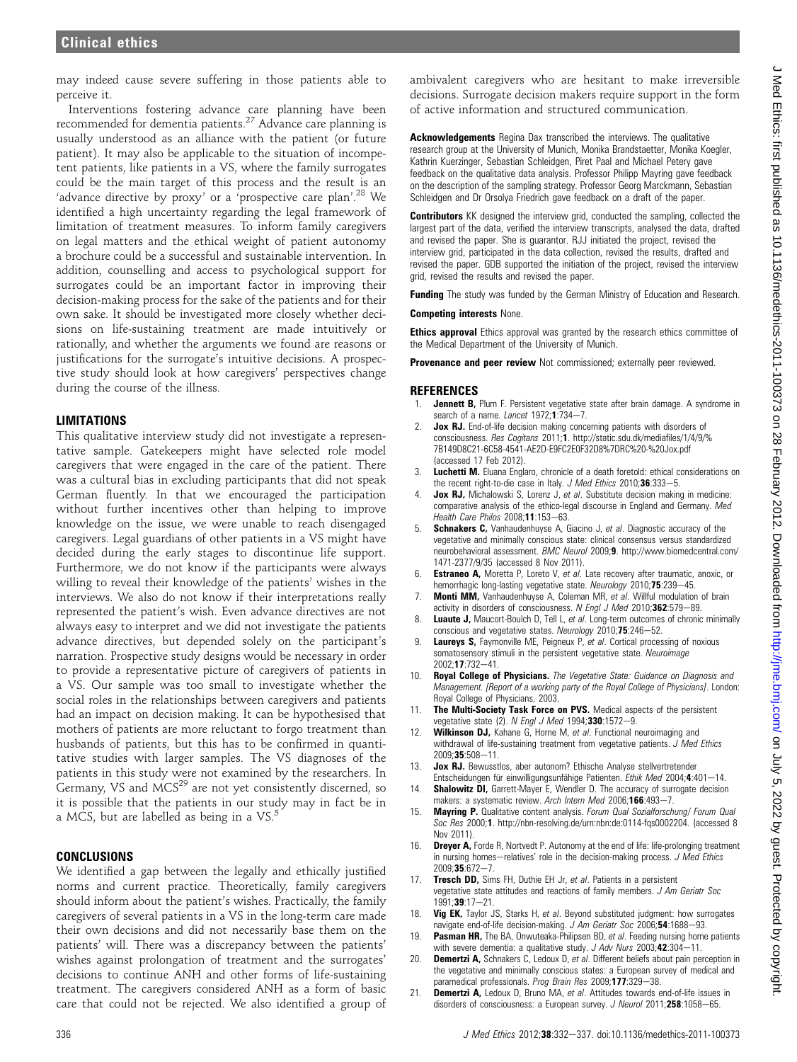may indeed cause severe suffering in those patients able to perceive it.

Interventions fostering advance care planning have been recommended for dementia patients.<sup>27</sup> Advance care planning is usually understood as an alliance with the patient (or future patient). It may also be applicable to the situation of incompetent patients, like patients in a VS, where the family surrogates could be the main target of this process and the result is an 'advance directive by proxy' or a 'prospective care plan'.<sup>28</sup> We identified a high uncertainty regarding the legal framework of limitation of treatment measures. To inform family caregivers on legal matters and the ethical weight of patient autonomy a brochure could be a successful and sustainable intervention. In addition, counselling and access to psychological support for surrogates could be an important factor in improving their decision-making process for the sake of the patients and for their own sake. It should be investigated more closely whether decisions on life-sustaining treatment are made intuitively or rationally, and whether the arguments we found are reasons or justifications for the surrogate's intuitive decisions. A prospective study should look at how caregivers' perspectives change during the course of the illness.

#### LIMITATIONS

This qualitative interview study did not investigate a representative sample. Gatekeepers might have selected role model caregivers that were engaged in the care of the patient. There was a cultural bias in excluding participants that did not speak German fluently. In that we encouraged the participation without further incentives other than helping to improve knowledge on the issue, we were unable to reach disengaged caregivers. Legal guardians of other patients in a VS might have decided during the early stages to discontinue life support. Furthermore, we do not know if the participants were always willing to reveal their knowledge of the patients' wishes in the interviews. We also do not know if their interpretations really represented the patient's wish. Even advance directives are not always easy to interpret and we did not investigate the patients advance directives, but depended solely on the participant's narration. Prospective study designs would be necessary in order to provide a representative picture of caregivers of patients in a VS. Our sample was too small to investigate whether the social roles in the relationships between caregivers and patients had an impact on decision making. It can be hypothesised that mothers of patients are more reluctant to forgo treatment than husbands of patients, but this has to be confirmed in quantitative studies with larger samples. The VS diagnoses of the patients in this study were not examined by the researchers. In Germany, VS and MCS<sup>29</sup> are not yet consistently discerned, so it is possible that the patients in our study may in fact be in a MCS, but are labelled as being in a VS.<sup>5</sup>

#### CONCLUSIONS

We identified a gap between the legally and ethically justified norms and current practice. Theoretically, family caregivers should inform about the patient's wishes. Practically, the family caregivers of several patients in a VS in the long-term care made their own decisions and did not necessarily base them on the patients' will. There was a discrepancy between the patients' wishes against prolongation of treatment and the surrogates' decisions to continue ANH and other forms of life-sustaining treatment. The caregivers considered ANH as a form of basic care that could not be rejected. We also identified a group of

ambivalent caregivers who are hesitant to make irreversible decisions. Surrogate decision makers require support in the form of active information and structured communication.

Acknowledgements Regina Dax transcribed the interviews. The qualitative research group at the University of Munich, Monika Brandstaetter, Monika Koegler, Kathrin Kuerzinger, Sebastian Schleidgen, Piret Paal and Michael Petery gave feedback on the qualitative data analysis. Professor Philipp Mayring gave feedback on the description of the sampling strategy. Professor Georg Marckmann, Sebastian Schleidgen and Dr Orsolya Friedrich gave feedback on a draft of the paper.

**Contributors** KK designed the interview grid, conducted the sampling, collected the largest part of the data, verified the interview transcripts, analysed the data, drafted and revised the paper. She is guarantor. RJJ initiated the project, revised the interview grid, participated in the data collection, revised the results, drafted and revised the paper. GDB supported the initiation of the project, revised the interview grid, revised the results and revised the paper.

Funding The study was funded by the German Ministry of Education and Research.

Competing interests None.

**Ethics approval** Ethics approval was granted by the research ethics committee of the Medical Department of the University of Munich.

Provenance and peer review Not commissioned; externally peer reviewed.

#### **REFERENCES**

- 1. **Jennett B,** Plum F. Persistent vegetative state after brain damage. A syndrome in search of a name. Lancet  $1972; 1:734-7$ .
- 2. Jox RJ. End-of-life decision making concerning patients with disorders of consciousness. Res Cogitans 2011;1. http://static.sdu.dk/mediafiles/1/4/9/% 7B149D8C21-6C58-4541-AE2D-E9FC2E0F32D8%7DRC%20-%20Jox.pdf (accessed 17 Feb 2012).
- Luchetti M. Eluana Englaro, chronicle of a death foretold: ethical considerations on the recent right-to-die case in Italy.  $J$  Med Ethics 2010;36:333-5.
- Jox RJ, Michalowski S, Lorenz J, et al. Substitute decision making in medicine: comparative analysis of the ethico-legal discourse in England and Germany. Med Health Care Philos 2008;11:153-63.
- 5. **Schnakers C,** Vanhaudenhuyse A, Giacino J, et al. Diagnostic accuracy of the vegetative and minimally conscious state: clinical consensus versus standardized neurobehavioral assessment. BMC Neurol 2009;9. http://www.biomedcentral.com/ 1471-2377/9/35 (accessed 8 Nov 2011).
- 6. Estraneo A, Moretta P, Loreto V, et al. Late recovery after traumatic, anoxic, or hemorrhagic long-lasting vegetative state. Neurology 2010;75:239-45.
- 7. **Monti MM,** Vanhaudenhuyse A, Coleman MR, et al. Willful modulation of brain activity in disorders of consciousness. N Engl J Med 2010;362:579-89.
- Luaute J, Maucort-Boulch D, Tell L, et al. Long-term outcomes of chronic minimally conscious and vegetative states. Neurology  $2010;75:246-52$ .
- **Laureys S, Faymonville ME, Peigneux P, et al. Cortical processing of noxious** somatosensory stimuli in the persistent vegetative state. Neuroimage 2002:17:732-41
- 10. Royal College of Physicians. The Vegetative State: Guidance on Diagnosis and Management. [Report of a working party of the Royal College of Physicians]. London: Royal College of Physicians, 2003.
- 11. The Multi-Society Task Force on PVS. Medical aspects of the persistent vegetative state (2). N Engl J Med 1994;330:1572-9.
- Wilkinson DJ, Kahane G, Horne M, et al. Functional neuroimaging and withdrawal of life-sustaining treatment from vegetative patients. J Med Ethics 2009:35:508-11.
- 13. Jox RJ. Bewusstlos, aber autonom? Ethische Analyse stellvertretender Entscheidungen für einwilligungsunfähige Patienten. Ethik Med 2004;4:401-14.
- 14. **Shalowitz DI,** Garrett-Mayer E, Wendler D. The accuracy of surrogate decision makers: a systematic review. Arch Intern Med 2006;166:493-7.
- 15. Mayring P. Qualitative content analysis. Forum Qual Sozialforschung/ Forum Qual Soc Res 2000;1. http://nbn-resolving.de/urn:nbn:de:0114-fqs0002204. (accessed 8 Nov 2011).
- **Dreyer A, Forde R, Nortvedt P. Autonomy at the end of life: life-prolonging treatment** in nursing homes-relatives' role in the decision-making process.  $J$  Med Ethics  $2009:35:672-7.$
- 17. Tresch DD, Sims FH, Duthie EH Jr, et al. Patients in a persistent vegetative state attitudes and reactions of family members. J Am Geriatr Soc 1991:39:17-21.
- 18. Vig EK, Taylor JS, Starks H, et al. Beyond substituted judgment: how surrogates navigate end-of-life decision-making. J Am Geriatr Soc 2006;54:1688-93.
- 19. Pasman HR, The BA, Onwuteaka-Philipsen BD, et al. Feeding nursing home patients with severe dementia: a qualitative study.  $J$  Adv Nurs 2003;42:304-11.
- **Demertzi A,** Schnakers C, Ledoux D, et al. Different beliefs about pain perception in the vegetative and minimally conscious states: a European survey of medical and paramedical professionals. Prog Brain Res 2009;177:329-38.
- 21. **Demertzi A,** Ledoux D, Bruno MA, et al. Attitudes towards end-of-life issues in disorders of consciousness: a European survey. J Neurol 2011;258:1058-65.